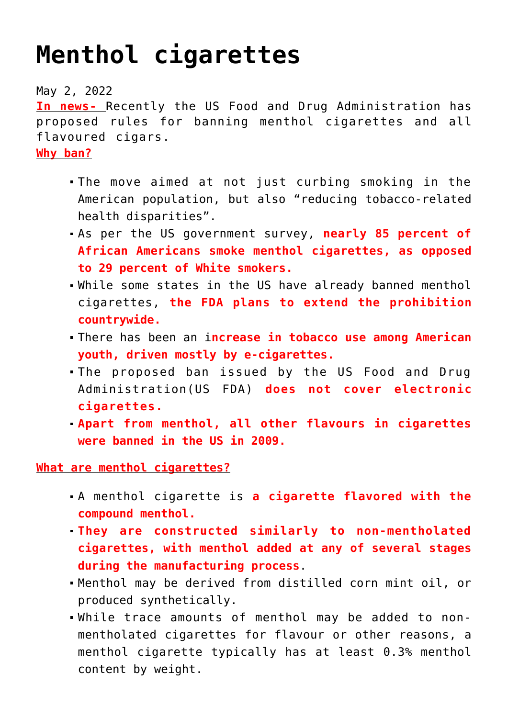## **[Menthol cigarettes](https://journalsofindia.com/menthol-cigarettes/)**

May 2, 2022

**In news-** Recently the US Food and Drug Administration has proposed rules for banning menthol cigarettes and all flavoured cigars.

**Why ban?**

- The move aimed at not just curbing smoking in the American population, but also "reducing tobacco-related health disparities".
- As per the US government survey, **nearly 85 percent of African Americans smoke menthol cigarettes, as opposed to 29 percent of White smokers.**
- While some states in the US have already banned menthol cigarettes, **the FDA plans to extend the prohibition countrywide.**
- There has been an i**ncrease in tobacco use among American youth, driven mostly by e-cigarettes.**
- The proposed ban issued by the US Food and Drug Administration(US FDA) **does not cover electronic cigarettes.**
- **Apart from menthol, all other flavours in cigarettes were banned in the US in 2009.**

**What are menthol cigarettes?**

- A menthol cigarette is **a cigarette flavored with the compound menthol.**
- **They are constructed similarly to non-mentholated cigarettes, with menthol added at any of several stages during the manufacturing process**.
- Menthol may be derived from distilled corn mint oil, or produced synthetically.
- While trace amounts of menthol may be added to nonmentholated cigarettes for flavour or other reasons, a menthol cigarette typically has at least 0.3% menthol content by weight.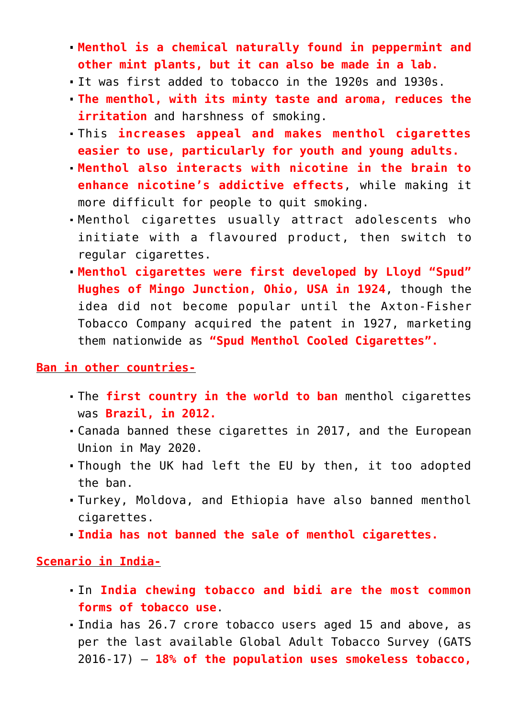- **Menthol is a chemical naturally found in peppermint and other mint plants, but it can also be made in a lab.**
- It was first added to tobacco in the 1920s and 1930s.
- **The menthol, with its minty taste and aroma, reduces the irritation** and harshness of smoking.
- This **increases appeal and makes menthol cigarettes easier to use, particularly for youth and young adults.**
- **Menthol also interacts with nicotine in the brain to enhance nicotine's addictive effects**, while making it more difficult for people to quit smoking.
- Menthol cigarettes usually attract adolescents who initiate with a flavoured product, then switch to regular cigarettes.
- **Menthol cigarettes were first developed by Lloyd "Spud" Hughes of Mingo Junction, Ohio, USA in 1924**, though the idea did not become popular until the Axton-Fisher Tobacco Company acquired the patent in 1927, marketing them nationwide as **"Spud Menthol Cooled Cigarettes".**

## **Ban in other countries-**

- The **first country in the world to ban** menthol cigarettes was **Brazil, in 2012.**
- Canada banned these cigarettes in 2017, and the European Union in May 2020.
- Though the UK had left the EU by then, it too adopted the ban.
- Turkey, Moldova, and Ethiopia have also banned menthol cigarettes.
- **India has not banned the sale of menthol cigarettes.**

**Scenario in India-**

- In **India chewing tobacco and bidi are the most common forms of tobacco use**.
- India has 26.7 crore tobacco users aged 15 and above, as per the last available Global Adult Tobacco Survey (GATS 2016-17) — **18% of the population uses smokeless tobacco,**